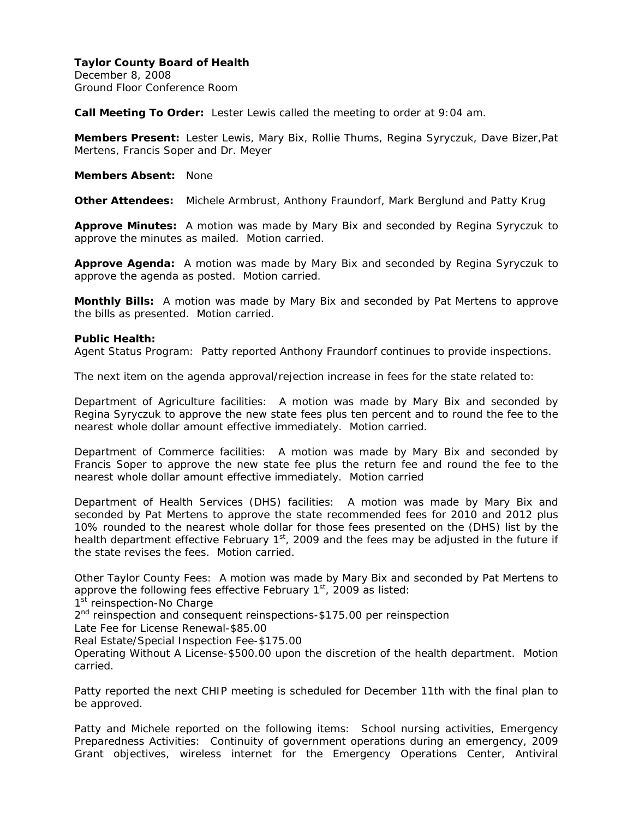December 8, 2008 Ground Floor Conference Room

**Call Meeting To Order:** Lester Lewis called the meeting to order at 9:04 am.

**Members Present:** Lester Lewis, Mary Bix, Rollie Thums, Regina Syryczuk, Dave Bizer,Pat Mertens, Francis Soper and Dr. Meyer

**Members Absent:** None

**Other Attendees:** Michele Armbrust, Anthony Fraundorf, Mark Berglund and Patty Krug

**Approve Minutes:** A motion was made by Mary Bix and seconded by Regina Syryczuk to approve the minutes as mailed. Motion carried.

**Approve Agenda:** A motion was made by Mary Bix and seconded by Regina Syryczuk to approve the agenda as posted. Motion carried.

**Monthly Bills:** A motion was made by Mary Bix and seconded by Pat Mertens to approve the bills as presented. Motion carried.

#### **Public Health:**

Agent Status Program: Patty reported Anthony Fraundorf continues to provide inspections.

The next item on the agenda approval/rejection increase in fees for the state related to:

Department of Agriculture facilities: A motion was made by Mary Bix and seconded by Regina Syryczuk to approve the new state fees plus ten percent and to round the fee to the nearest whole dollar amount effective immediately. Motion carried.

Department of Commerce facilities: A motion was made by Mary Bix and seconded by Francis Soper to approve the new state fee plus the return fee and round the fee to the nearest whole dollar amount effective immediately. Motion carried

Department of Health Services (DHS) facilities: A motion was made by Mary Bix and seconded by Pat Mertens to approve the state recommended fees for 2010 and 2012 plus 10% rounded to the nearest whole dollar for those fees presented on the (DHS) list by the health department effective February 1<sup>st</sup>, 2009 and the fees may be adjusted in the future if the state revises the fees. Motion carried.

Other Taylor County Fees: A motion was made by Mary Bix and seconded by Pat Mertens to approve the following fees effective February  $1<sup>st</sup>$ , 2009 as listed:

1<sup>st</sup> reinspection-No Charge

2<sup>nd</sup> reinspection and consequent reinspections-\$175.00 per reinspection

Late Fee for License Renewal-\$85.00

Real Estate/Special Inspection Fee-\$175.00

Operating Without A License-\$500.00 upon the discretion of the health department. Motion carried.

Patty reported the next CHIP meeting is scheduled for December 11th with the final plan to be approved.

Patty and Michele reported on the following items: School nursing activities, Emergency Preparedness Activities: Continuity of government operations during an emergency, 2009 Grant objectives, wireless internet for the Emergency Operations Center, Antiviral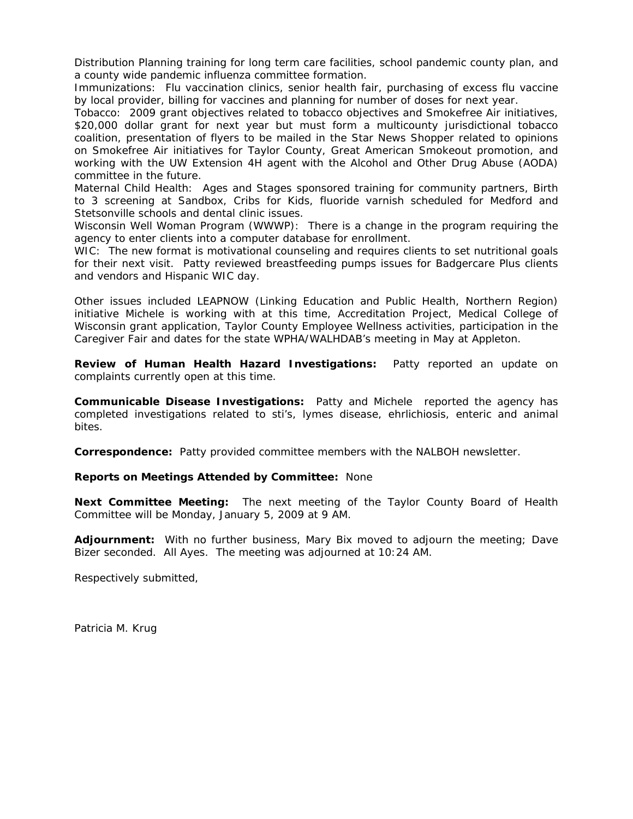Distribution Planning training for long term care facilities, school pandemic county plan, and a county wide pandemic influenza committee formation.

Immunizations: Flu vaccination clinics, senior health fair, purchasing of excess flu vaccine by local provider, billing for vaccines and planning for number of doses for next year.

Tobacco: 2009 grant objectives related to tobacco objectives and Smokefree Air initiatives, \$20,000 dollar grant for next year but must form a multicounty jurisdictional tobacco coalition, presentation of flyers to be mailed in the Star News Shopper related to opinions on Smokefree Air initiatives for Taylor County, Great American Smokeout promotion, and working with the UW Extension 4H agent with the Alcohol and Other Drug Abuse (AODA) committee in the future.

Maternal Child Health: Ages and Stages sponsored training for community partners, Birth to 3 screening at Sandbox, Cribs for Kids, fluoride varnish scheduled for Medford and Stetsonville schools and dental clinic issues.

Wisconsin Well Woman Program (WWWP): There is a change in the program requiring the agency to enter clients into a computer database for enrollment.

WIC: The new format is motivational counseling and requires clients to set nutritional goals for their next visit. Patty reviewed breastfeeding pumps issues for Badgercare Plus clients and vendors and Hispanic WIC day.

Other issues included LEAPNOW (Linking Education and Public Health, Northern Region) initiative Michele is working with at this time, Accreditation Project, Medical College of Wisconsin grant application, Taylor County Employee Wellness activities, participation in the Caregiver Fair and dates for the state WPHA/WALHDAB's meeting in May at Appleton.

**Review of Human Health Hazard Investigations:** Patty reported an update on complaints currently open at this time.

**Communicable Disease Investigations:** Patty and Michele reported the agency has completed investigations related to sti's, lymes disease, ehrlichiosis, enteric and animal bites.

**Correspondence:** Patty provided committee members with the NALBOH newsletter.

#### **Reports on Meetings Attended by Committee:** None

**Next Committee Meeting:** The next meeting of the Taylor County Board of Health Committee will be Monday, January 5, 2009 at 9 AM.

**Adjournment:** With no further business, Mary Bix moved to adjourn the meeting; Dave Bizer seconded. All Ayes. The meeting was adjourned at 10:24 AM.

Respectively submitted,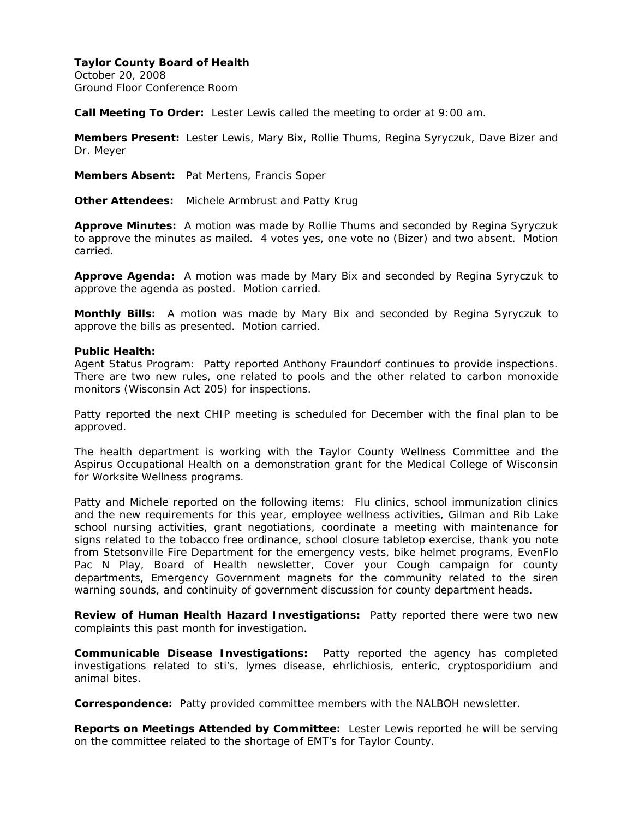October 20, 2008 Ground Floor Conference Room

**Call Meeting To Order:** Lester Lewis called the meeting to order at 9:00 am.

**Members Present:** Lester Lewis, Mary Bix, Rollie Thums, Regina Syryczuk, Dave Bizer and Dr. Meyer

**Members Absent:** Pat Mertens, Francis Soper

**Other Attendees:** Michele Armbrust and Patty Krug

**Approve Minutes:** A motion was made by Rollie Thums and seconded by Regina Syryczuk to approve the minutes as mailed. 4 votes yes, one vote no (Bizer) and two absent. Motion carried.

**Approve Agenda:** A motion was made by Mary Bix and seconded by Regina Syryczuk to approve the agenda as posted. Motion carried.

**Monthly Bills:** A motion was made by Mary Bix and seconded by Regina Syryczuk to approve the bills as presented. Motion carried.

#### **Public Health:**

Agent Status Program: Patty reported Anthony Fraundorf continues to provide inspections. There are two new rules, one related to pools and the other related to carbon monoxide monitors (Wisconsin Act 205) for inspections.

Patty reported the next CHIP meeting is scheduled for December with the final plan to be approved.

The health department is working with the Taylor County Wellness Committee and the Aspirus Occupational Health on a demonstration grant for the Medical College of Wisconsin for Worksite Wellness programs.

Patty and Michele reported on the following items: Flu clinics, school immunization clinics and the new requirements for this year, employee wellness activities, Gilman and Rib Lake school nursing activities, grant negotiations, coordinate a meeting with maintenance for signs related to the tobacco free ordinance, school closure tabletop exercise, thank you note from Stetsonville Fire Department for the emergency vests, bike helmet programs, EvenFlo Pac N Play, Board of Health newsletter, Cover your Cough campaign for county departments, Emergency Government magnets for the community related to the siren warning sounds, and continuity of government discussion for county department heads.

**Review of Human Health Hazard Investigations:** Patty reported there were two new complaints this past month for investigation.

**Communicable Disease Investigations:** Patty reported the agency has completed investigations related to sti's, lymes disease, ehrlichiosis, enteric, cryptosporidium and animal bites.

**Correspondence:** Patty provided committee members with the NALBOH newsletter.

**Reports on Meetings Attended by Committee:** Lester Lewis reported he will be serving on the committee related to the shortage of EMT's for Taylor County.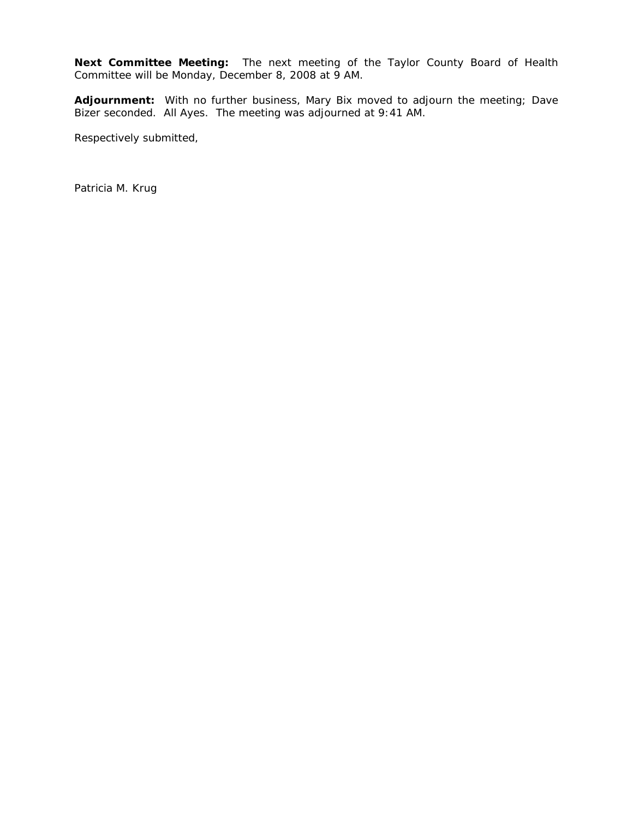**Next Committee Meeting:** The next meeting of the Taylor County Board of Health Committee will be Monday, December 8, 2008 at 9 AM.

**Adjournment:** With no further business, Mary Bix moved to adjourn the meeting; Dave Bizer seconded. All Ayes. The meeting was adjourned at 9:41 AM.

Respectively submitted,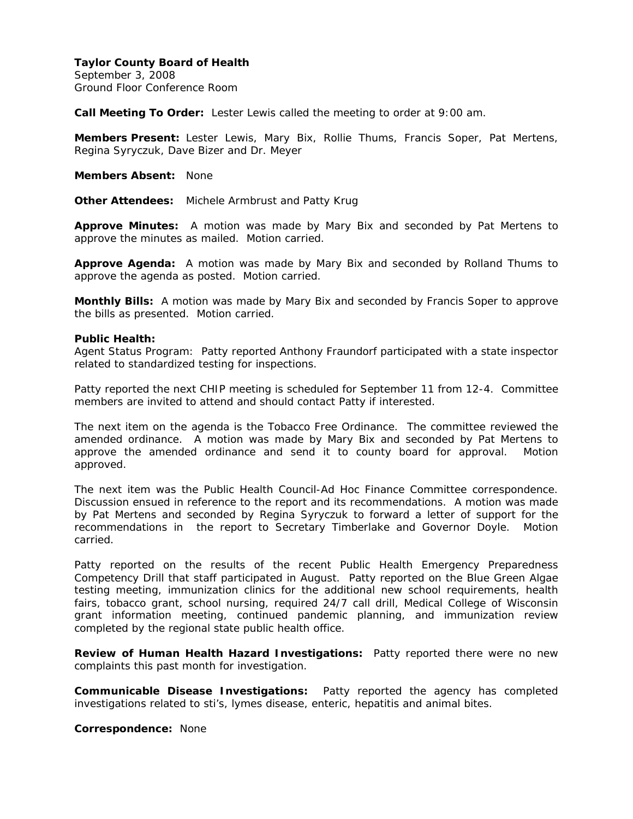September 3, 2008 Ground Floor Conference Room

**Call Meeting To Order:** Lester Lewis called the meeting to order at 9:00 am.

**Members Present:** Lester Lewis, Mary Bix, Rollie Thums, Francis Soper, Pat Mertens, Regina Syryczuk, Dave Bizer and Dr. Meyer

**Members Absent:** None

**Other Attendees:** Michele Armbrust and Patty Krug

**Approve Minutes:** A motion was made by Mary Bix and seconded by Pat Mertens to approve the minutes as mailed. Motion carried.

**Approve Agenda:** A motion was made by Mary Bix and seconded by Rolland Thums to approve the agenda as posted. Motion carried.

**Monthly Bills:** A motion was made by Mary Bix and seconded by Francis Soper to approve the bills as presented. Motion carried.

#### **Public Health:**

Agent Status Program: Patty reported Anthony Fraundorf participated with a state inspector related to standardized testing for inspections.

Patty reported the next CHIP meeting is scheduled for September 11 from 12-4. Committee members are invited to attend and should contact Patty if interested.

The next item on the agenda is the Tobacco Free Ordinance. The committee reviewed the amended ordinance. A motion was made by Mary Bix and seconded by Pat Mertens to approve the amended ordinance and send it to county board for approval. Motion approved.

The next item was the Public Health Council-Ad Hoc Finance Committee correspondence. Discussion ensued in reference to the report and its recommendations. A motion was made by Pat Mertens and seconded by Regina Syryczuk to forward a letter of support for the recommendations in the report to Secretary Timberlake and Governor Doyle. Motion carried.

Patty reported on the results of the recent Public Health Emergency Preparedness Competency Drill that staff participated in August. Patty reported on the Blue Green Algae testing meeting, immunization clinics for the additional new school requirements, health fairs, tobacco grant, school nursing, required 24/7 call drill, Medical College of Wisconsin grant information meeting, continued pandemic planning, and immunization review completed by the regional state public health office.

**Review of Human Health Hazard Investigations:** Patty reported there were no new complaints this past month for investigation.

**Communicable Disease Investigations:** Patty reported the agency has completed investigations related to sti's, lymes disease, enteric, hepatitis and animal bites.

**Correspondence:** None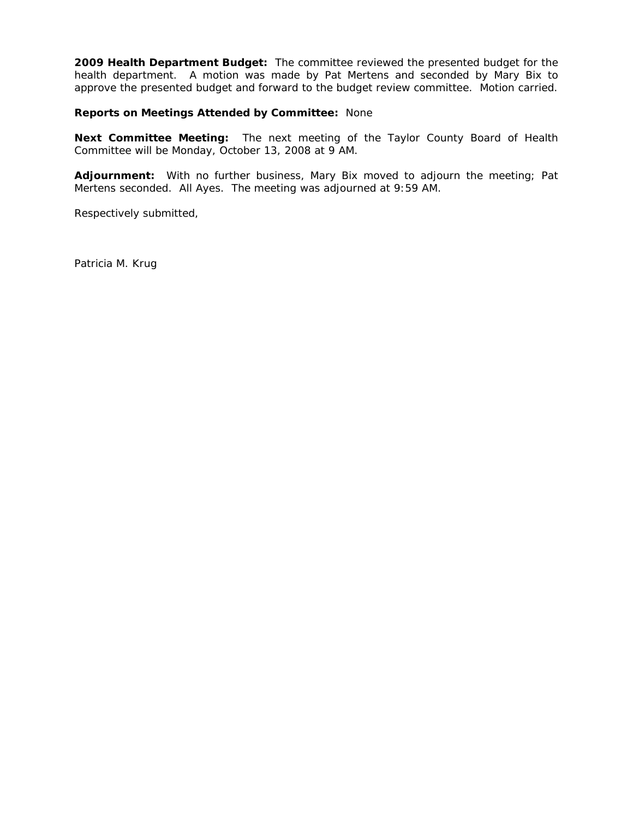**2009 Health Department Budget:** The committee reviewed the presented budget for the health department. A motion was made by Pat Mertens and seconded by Mary Bix to approve the presented budget and forward to the budget review committee. Motion carried.

**Reports on Meetings Attended by Committee:** None

**Next Committee Meeting:** The next meeting of the Taylor County Board of Health Committee will be Monday, October 13, 2008 at 9 AM.

**Adjournment:** With no further business, Mary Bix moved to adjourn the meeting; Pat Mertens seconded. All Ayes. The meeting was adjourned at 9:59 AM.

Respectively submitted,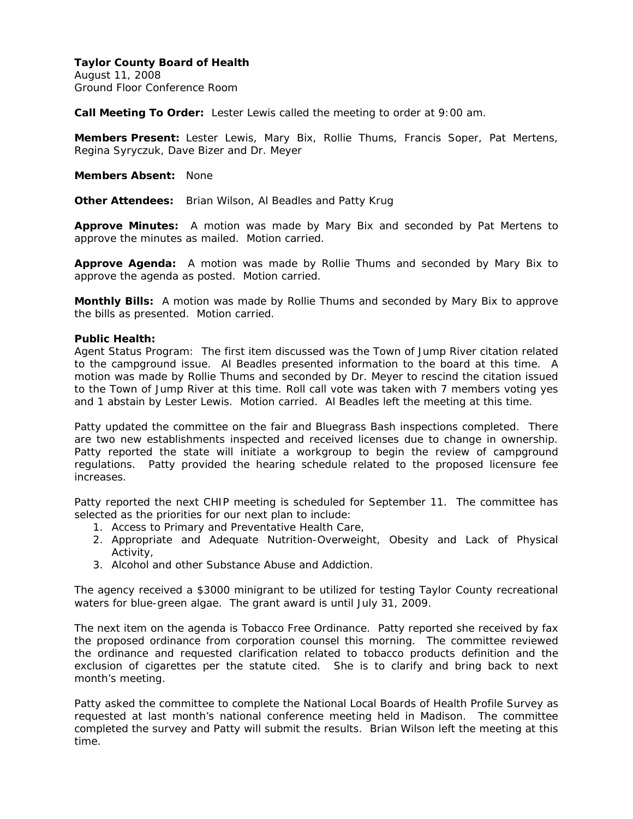August 11, 2008 Ground Floor Conference Room

**Call Meeting To Order:** Lester Lewis called the meeting to order at 9:00 am.

**Members Present:** Lester Lewis, Mary Bix, Rollie Thums, Francis Soper, Pat Mertens, Regina Syryczuk, Dave Bizer and Dr. Meyer

**Members Absent:** None

**Other Attendees:** Brian Wilson, Al Beadles and Patty Krug

**Approve Minutes:** A motion was made by Mary Bix and seconded by Pat Mertens to approve the minutes as mailed. Motion carried.

**Approve Agenda:** A motion was made by Rollie Thums and seconded by Mary Bix to approve the agenda as posted. Motion carried.

**Monthly Bills:** A motion was made by Rollie Thums and seconded by Mary Bix to approve the bills as presented. Motion carried.

### **Public Health:**

Agent Status Program: The first item discussed was the Town of Jump River citation related to the campground issue. Al Beadles presented information to the board at this time. A motion was made by Rollie Thums and seconded by Dr. Meyer to rescind the citation issued to the Town of Jump River at this time. Roll call vote was taken with 7 members voting yes and 1 abstain by Lester Lewis. Motion carried. Al Beadles left the meeting at this time.

Patty updated the committee on the fair and Bluegrass Bash inspections completed. There are two new establishments inspected and received licenses due to change in ownership. Patty reported the state will initiate a workgroup to begin the review of campground regulations. Patty provided the hearing schedule related to the proposed licensure fee increases.

Patty reported the next CHIP meeting is scheduled for September 11. The committee has selected as the priorities for our next plan to include:

- 1. Access to Primary and Preventative Health Care,
- 2. Appropriate and Adequate Nutrition-Overweight, Obesity and Lack of Physical Activity,
- 3. Alcohol and other Substance Abuse and Addiction.

The agency received a \$3000 minigrant to be utilized for testing Taylor County recreational waters for blue-green algae. The grant award is until July 31, 2009.

The next item on the agenda is Tobacco Free Ordinance. Patty reported she received by fax the proposed ordinance from corporation counsel this morning. The committee reviewed the ordinance and requested clarification related to tobacco products definition and the exclusion of cigarettes per the statute cited. She is to clarify and bring back to next month's meeting.

Patty asked the committee to complete the National Local Boards of Health Profile Survey as requested at last month's national conference meeting held in Madison. The committee completed the survey and Patty will submit the results. Brian Wilson left the meeting at this time.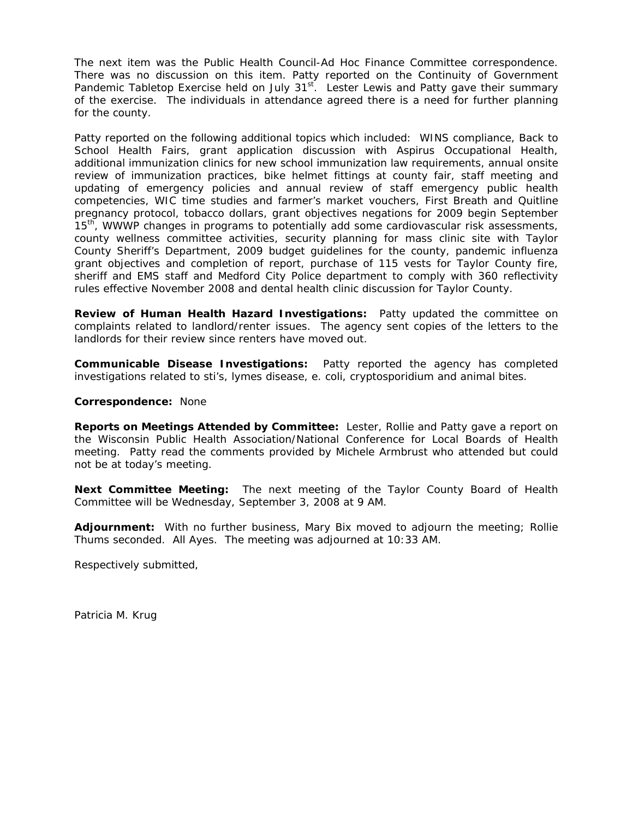The next item was the Public Health Council-Ad Hoc Finance Committee correspondence. There was no discussion on this item. Patty reported on the Continuity of Government Pandemic Tabletop Exercise held on July 31<sup>st</sup>. Lester Lewis and Patty gave their summary of the exercise. The individuals in attendance agreed there is a need for further planning for the county.

Patty reported on the following additional topics which included: WINS compliance, Back to School Health Fairs, grant application discussion with Aspirus Occupational Health, additional immunization clinics for new school immunization law requirements, annual onsite review of immunization practices, bike helmet fittings at county fair, staff meeting and updating of emergency policies and annual review of staff emergency public health competencies, WIC time studies and farmer's market vouchers, First Breath and Quitline pregnancy protocol, tobacco dollars, grant objectives negations for 2009 begin September 15<sup>th</sup>, WWWP changes in programs to potentially add some cardiovascular risk assessments, county wellness committee activities, security planning for mass clinic site with Taylor County Sheriff's Department, 2009 budget guidelines for the county, pandemic influenza grant objectives and completion of report, purchase of 115 vests for Taylor County fire, sheriff and EMS staff and Medford City Police department to comply with 360 reflectivity rules effective November 2008 and dental health clinic discussion for Taylor County.

**Review of Human Health Hazard Investigations:** Patty updated the committee on complaints related to landlord/renter issues. The agency sent copies of the letters to the landlords for their review since renters have moved out.

**Communicable Disease Investigations:** Patty reported the agency has completed investigations related to sti's, lymes disease, e. coli, cryptosporidium and animal bites.

#### **Correspondence:** None

**Reports on Meetings Attended by Committee:** Lester, Rollie and Patty gave a report on the Wisconsin Public Health Association/National Conference for Local Boards of Health meeting. Patty read the comments provided by Michele Armbrust who attended but could not be at today's meeting.

**Next Committee Meeting:** The next meeting of the Taylor County Board of Health Committee will be Wednesday, September 3, 2008 at 9 AM.

**Adjournment:** With no further business, Mary Bix moved to adjourn the meeting; Rollie Thums seconded. All Ayes. The meeting was adjourned at 10:33 AM.

Respectively submitted,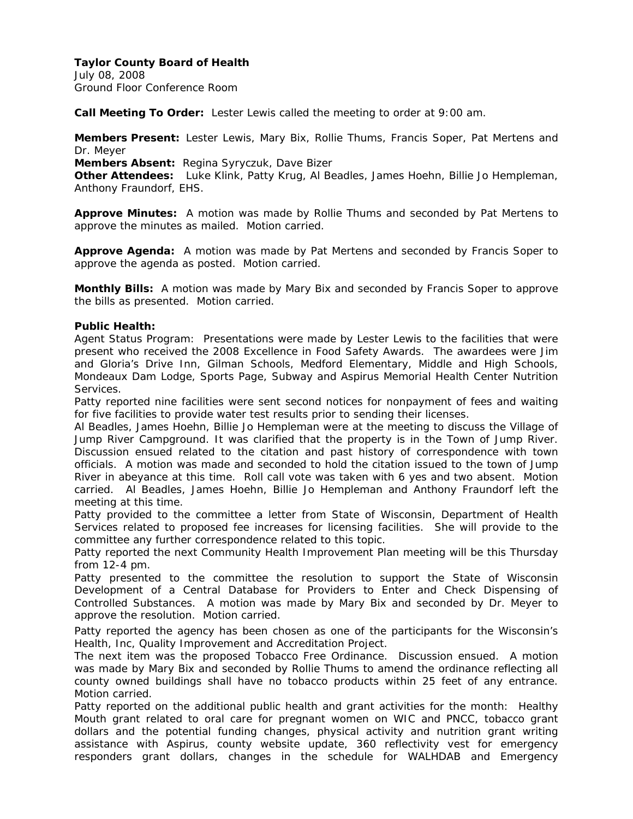July 08, 2008 Ground Floor Conference Room

**Call Meeting To Order:** Lester Lewis called the meeting to order at 9:00 am.

**Members Present:** Lester Lewis, Mary Bix, Rollie Thums, Francis Soper, Pat Mertens and Dr. Meyer

**Members Absent:** Regina Syryczuk, Dave Bizer

**Other Attendees:** Luke Klink, Patty Krug, Al Beadles, James Hoehn, Billie Jo Hempleman, Anthony Fraundorf, EHS.

**Approve Minutes:** A motion was made by Rollie Thums and seconded by Pat Mertens to approve the minutes as mailed. Motion carried.

**Approve Agenda:** A motion was made by Pat Mertens and seconded by Francis Soper to approve the agenda as posted. Motion carried.

**Monthly Bills:** A motion was made by Mary Bix and seconded by Francis Soper to approve the bills as presented. Motion carried.

## **Public Health:**

Agent Status Program: Presentations were made by Lester Lewis to the facilities that were present who received the 2008 Excellence in Food Safety Awards. The awardees were Jim and Gloria's Drive Inn, Gilman Schools, Medford Elementary, Middle and High Schools, Mondeaux Dam Lodge, Sports Page, Subway and Aspirus Memorial Health Center Nutrition Services.

Patty reported nine facilities were sent second notices for nonpayment of fees and waiting for five facilities to provide water test results prior to sending their licenses.

Al Beadles, James Hoehn, Billie Jo Hempleman were at the meeting to discuss the Village of Jump River Campground. It was clarified that the property is in the Town of Jump River. Discussion ensued related to the citation and past history of correspondence with town officials. A motion was made and seconded to hold the citation issued to the town of Jump River in abeyance at this time. Roll call vote was taken with 6 yes and two absent. Motion carried. Al Beadles, James Hoehn, Billie Jo Hempleman and Anthony Fraundorf left the meeting at this time.

Patty provided to the committee a letter from State of Wisconsin, Department of Health Services related to proposed fee increases for licensing facilities. She will provide to the committee any further correspondence related to this topic.

Patty reported the next Community Health Improvement Plan meeting will be this Thursday from 12-4 pm.

Patty presented to the committee the resolution to support the State of Wisconsin Development of a Central Database for Providers to Enter and Check Dispensing of Controlled Substances. A motion was made by Mary Bix and seconded by Dr. Meyer to approve the resolution. Motion carried.

Patty reported the agency has been chosen as one of the participants for the Wisconsin's Health, Inc, Quality Improvement and Accreditation Project.

The next item was the proposed Tobacco Free Ordinance. Discussion ensued. A motion was made by Mary Bix and seconded by Rollie Thums to amend the ordinance reflecting all county owned buildings shall have no tobacco products within 25 feet of any entrance. Motion carried.

Patty reported on the additional public health and grant activities for the month: Healthy Mouth grant related to oral care for pregnant women on WIC and PNCC, tobacco grant dollars and the potential funding changes, physical activity and nutrition grant writing assistance with Aspirus, county website update, 360 reflectivity vest for emergency responders grant dollars, changes in the schedule for WALHDAB and Emergency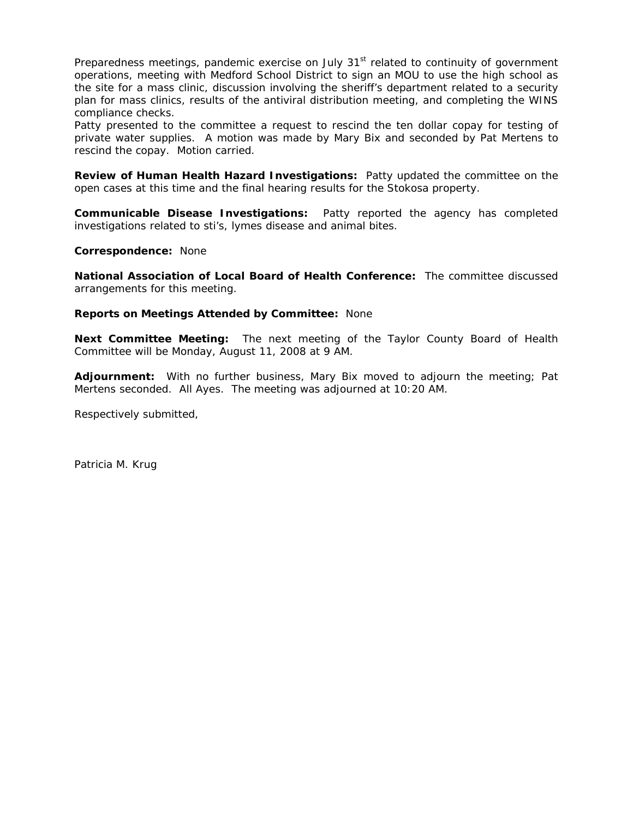Preparedness meetings, pandemic exercise on July  $31<sup>st</sup>$  related to continuity of government operations, meeting with Medford School District to sign an MOU to use the high school as the site for a mass clinic, discussion involving the sheriff's department related to a security plan for mass clinics, results of the antiviral distribution meeting, and completing the WINS compliance checks.

Patty presented to the committee a request to rescind the ten dollar copay for testing of private water supplies. A motion was made by Mary Bix and seconded by Pat Mertens to rescind the copay. Motion carried.

**Review of Human Health Hazard Investigations:** Patty updated the committee on the open cases at this time and the final hearing results for the Stokosa property.

**Communicable Disease Investigations:** Patty reported the agency has completed investigations related to sti's, lymes disease and animal bites.

**Correspondence:** None

**National Association of Local Board of Health Conference:** The committee discussed arrangements for this meeting.

#### **Reports on Meetings Attended by Committee:** None

**Next Committee Meeting:** The next meeting of the Taylor County Board of Health Committee will be Monday, August 11, 2008 at 9 AM.

**Adjournment:** With no further business, Mary Bix moved to adjourn the meeting; Pat Mertens seconded. All Ayes. The meeting was adjourned at 10:20 AM.

Respectively submitted,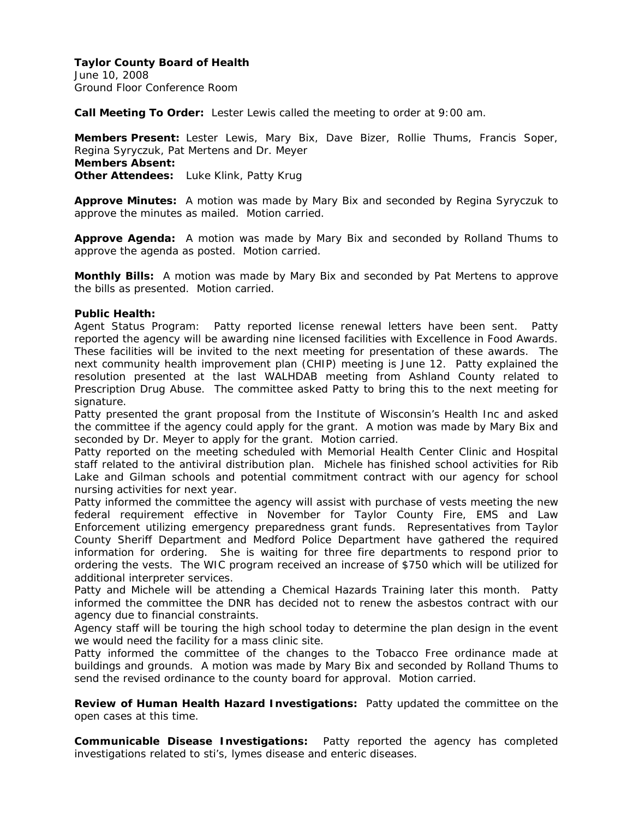June 10, 2008 Ground Floor Conference Room

**Call Meeting To Order:** Lester Lewis called the meeting to order at 9:00 am.

**Members Present:** Lester Lewis, Mary Bix, Dave Bizer, Rollie Thums, Francis Soper, Regina Syryczuk, Pat Mertens and Dr. Meyer **Members Absent: Other Attendees:** Luke Klink, Patty Krug

**Approve Minutes:** A motion was made by Mary Bix and seconded by Regina Syryczuk to approve the minutes as mailed. Motion carried.

**Approve Agenda:** A motion was made by Mary Bix and seconded by Rolland Thums to approve the agenda as posted. Motion carried.

**Monthly Bills:** A motion was made by Mary Bix and seconded by Pat Mertens to approve the bills as presented. Motion carried.

### **Public Health:**

Agent Status Program: Patty reported license renewal letters have been sent. Patty reported the agency will be awarding nine licensed facilities with Excellence in Food Awards. These facilities will be invited to the next meeting for presentation of these awards. The next community health improvement plan (CHIP) meeting is June 12. Patty explained the resolution presented at the last WALHDAB meeting from Ashland County related to Prescription Drug Abuse. The committee asked Patty to bring this to the next meeting for signature.

Patty presented the grant proposal from the Institute of Wisconsin's Health Inc and asked the committee if the agency could apply for the grant. A motion was made by Mary Bix and seconded by Dr. Meyer to apply for the grant. Motion carried.

Patty reported on the meeting scheduled with Memorial Health Center Clinic and Hospital staff related to the antiviral distribution plan. Michele has finished school activities for Rib Lake and Gilman schools and potential commitment contract with our agency for school nursing activities for next year.

Patty informed the committee the agency will assist with purchase of vests meeting the new federal requirement effective in November for Taylor County Fire, EMS and Law Enforcement utilizing emergency preparedness grant funds. Representatives from Taylor County Sheriff Department and Medford Police Department have gathered the required information for ordering. She is waiting for three fire departments to respond prior to ordering the vests. The WIC program received an increase of \$750 which will be utilized for additional interpreter services.

Patty and Michele will be attending a Chemical Hazards Training later this month. Patty informed the committee the DNR has decided not to renew the asbestos contract with our agency due to financial constraints.

Agency staff will be touring the high school today to determine the plan design in the event we would need the facility for a mass clinic site.

Patty informed the committee of the changes to the Tobacco Free ordinance made at buildings and grounds. A motion was made by Mary Bix and seconded by Rolland Thums to send the revised ordinance to the county board for approval. Motion carried.

**Review of Human Health Hazard Investigations:** Patty updated the committee on the open cases at this time.

**Communicable Disease Investigations:** Patty reported the agency has completed investigations related to sti's, lymes disease and enteric diseases.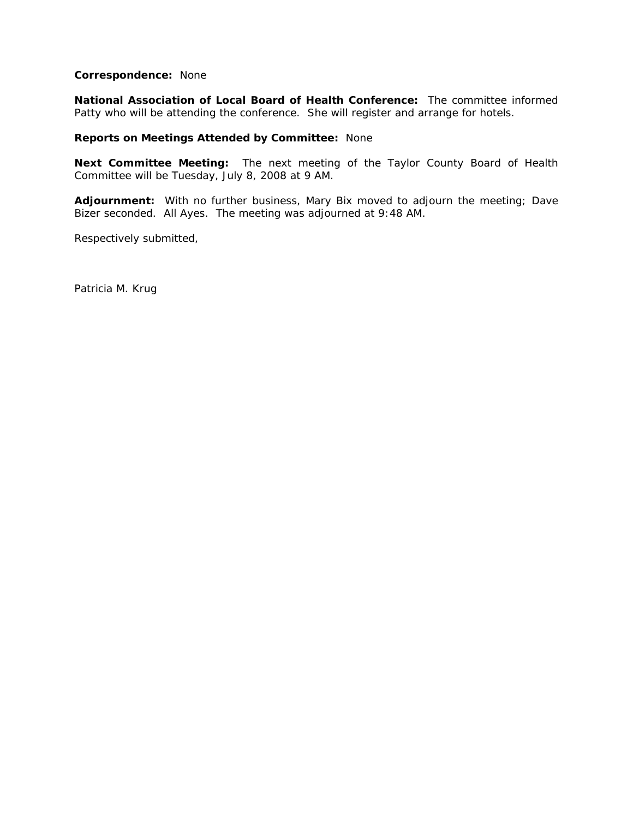#### **Correspondence:** None

**National Association of Local Board of Health Conference:** The committee informed Patty who will be attending the conference. She will register and arrange for hotels.

#### **Reports on Meetings Attended by Committee:** None

**Next Committee Meeting:** The next meeting of the Taylor County Board of Health Committee will be Tuesday, July 8, 2008 at 9 AM.

**Adjournment:** With no further business, Mary Bix moved to adjourn the meeting; Dave Bizer seconded. All Ayes. The meeting was adjourned at 9:48 AM.

Respectively submitted,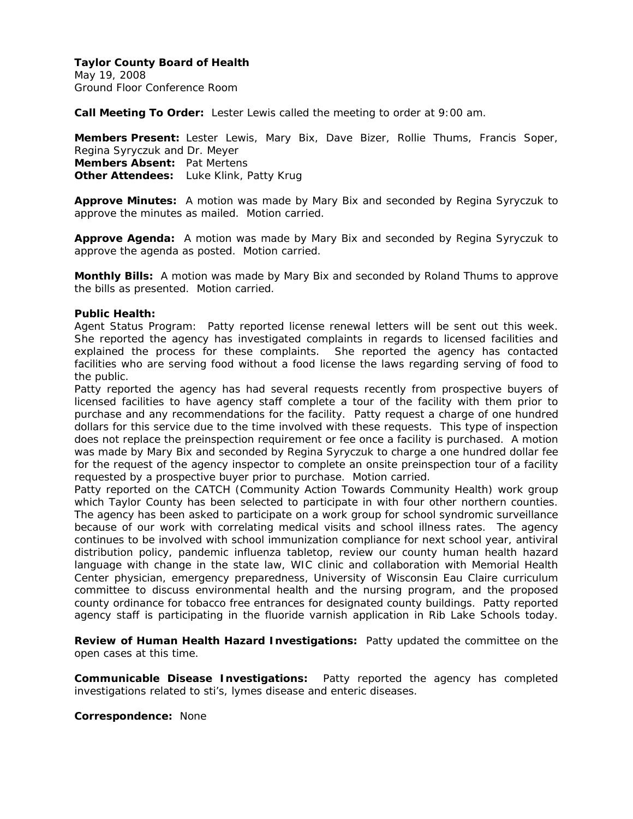May 19, 2008 Ground Floor Conference Room

**Call Meeting To Order:** Lester Lewis called the meeting to order at 9:00 am.

**Members Present:** Lester Lewis, Mary Bix, Dave Bizer, Rollie Thums, Francis Soper, Regina Syryczuk and Dr. Meyer **Members Absent:** Pat Mertens **Other Attendees:** Luke Klink, Patty Krug

**Approve Minutes:** A motion was made by Mary Bix and seconded by Regina Syryczuk to approve the minutes as mailed. Motion carried.

**Approve Agenda:** A motion was made by Mary Bix and seconded by Regina Syryczuk to approve the agenda as posted. Motion carried.

**Monthly Bills:** A motion was made by Mary Bix and seconded by Roland Thums to approve the bills as presented. Motion carried.

#### **Public Health:**

Agent Status Program: Patty reported license renewal letters will be sent out this week. She reported the agency has investigated complaints in regards to licensed facilities and explained the process for these complaints. She reported the agency has contacted facilities who are serving food without a food license the laws regarding serving of food to the public.

Patty reported the agency has had several requests recently from prospective buyers of licensed facilities to have agency staff complete a tour of the facility with them prior to purchase and any recommendations for the facility. Patty request a charge of one hundred dollars for this service due to the time involved with these requests. This type of inspection does not replace the preinspection requirement or fee once a facility is purchased. A motion was made by Mary Bix and seconded by Regina Syryczuk to charge a one hundred dollar fee for the request of the agency inspector to complete an onsite preinspection tour of a facility requested by a prospective buyer prior to purchase. Motion carried.

Patty reported on the CATCH (Community Action Towards Community Health) work group which Taylor County has been selected to participate in with four other northern counties. The agency has been asked to participate on a work group for school syndromic surveillance because of our work with correlating medical visits and school illness rates. The agency continues to be involved with school immunization compliance for next school year, antiviral distribution policy, pandemic influenza tabletop, review our county human health hazard language with change in the state law, WIC clinic and collaboration with Memorial Health Center physician, emergency preparedness, University of Wisconsin Eau Claire curriculum committee to discuss environmental health and the nursing program, and the proposed county ordinance for tobacco free entrances for designated county buildings. Patty reported agency staff is participating in the fluoride varnish application in Rib Lake Schools today.

**Review of Human Health Hazard Investigations:** Patty updated the committee on the open cases at this time.

**Communicable Disease Investigations:** Patty reported the agency has completed investigations related to sti's, lymes disease and enteric diseases.

**Correspondence:** None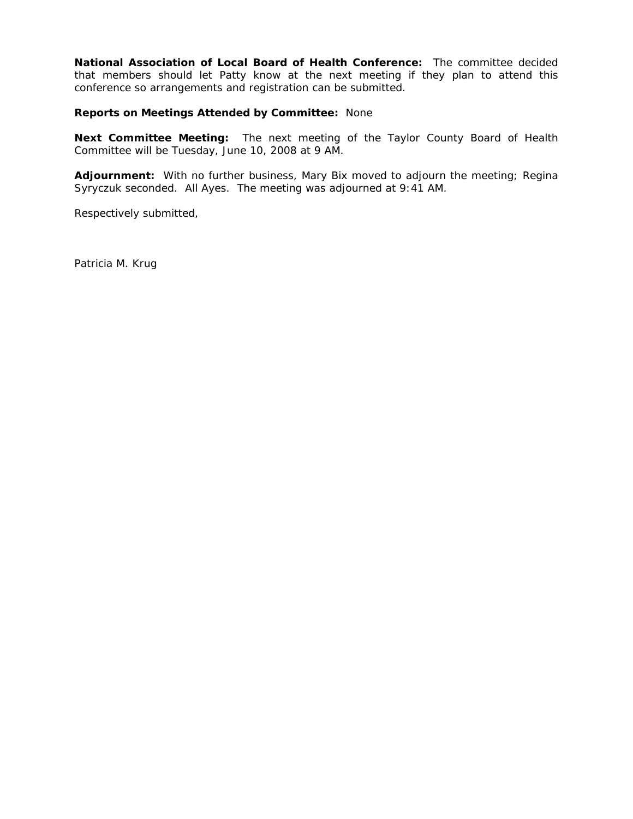**National Association of Local Board of Health Conference:** The committee decided that members should let Patty know at the next meeting if they plan to attend this conference so arrangements and registration can be submitted.

**Reports on Meetings Attended by Committee:** None

**Next Committee Meeting:** The next meeting of the Taylor County Board of Health Committee will be Tuesday, June 10, 2008 at 9 AM.

**Adjournment:** With no further business, Mary Bix moved to adjourn the meeting; Regina Syryczuk seconded. All Ayes. The meeting was adjourned at 9:41 AM.

Respectively submitted,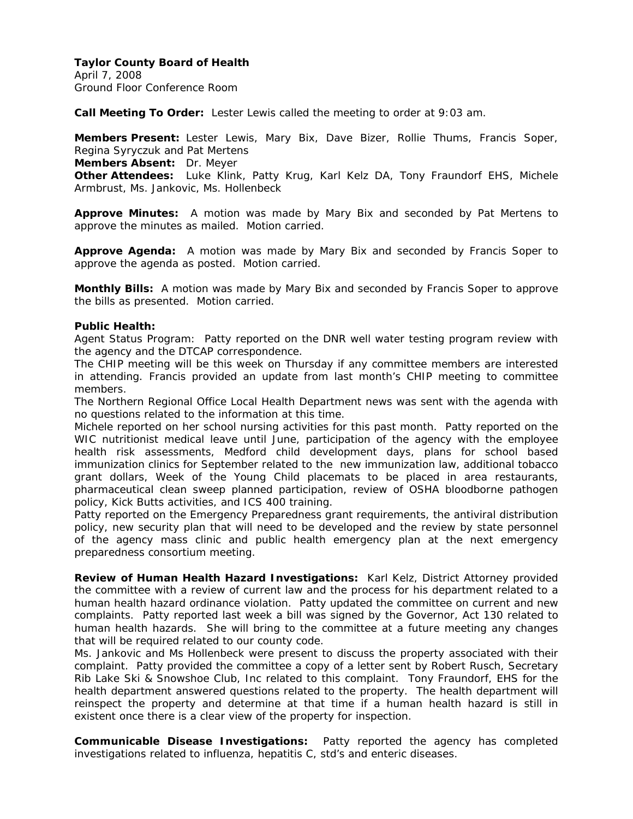April 7, 2008 Ground Floor Conference Room

**Call Meeting To Order:** Lester Lewis called the meeting to order at 9:03 am.

**Members Present:** Lester Lewis, Mary Bix, Dave Bizer, Rollie Thums, Francis Soper, Regina Syryczuk and Pat Mertens

**Members Absent:** Dr. Meyer

**Other Attendees:** Luke Klink, Patty Krug, Karl Kelz DA, Tony Fraundorf EHS, Michele Armbrust, Ms. Jankovic, Ms. Hollenbeck

**Approve Minutes:** A motion was made by Mary Bix and seconded by Pat Mertens to approve the minutes as mailed. Motion carried.

**Approve Agenda:** A motion was made by Mary Bix and seconded by Francis Soper to approve the agenda as posted. Motion carried.

**Monthly Bills:** A motion was made by Mary Bix and seconded by Francis Soper to approve the bills as presented. Motion carried.

### **Public Health:**

Agent Status Program: Patty reported on the DNR well water testing program review with the agency and the DTCAP correspondence.

The CHIP meeting will be this week on Thursday if any committee members are interested in attending. Francis provided an update from last month's CHIP meeting to committee members.

The Northern Regional Office Local Health Department news was sent with the agenda with no questions related to the information at this time.

Michele reported on her school nursing activities for this past month. Patty reported on the WIC nutritionist medical leave until June, participation of the agency with the employee health risk assessments, Medford child development days, plans for school based immunization clinics for September related to the new immunization law, additional tobacco grant dollars, Week of the Young Child placemats to be placed in area restaurants, pharmaceutical clean sweep planned participation, review of OSHA bloodborne pathogen policy, Kick Butts activities, and ICS 400 training.

Patty reported on the Emergency Preparedness grant requirements, the antiviral distribution policy, new security plan that will need to be developed and the review by state personnel of the agency mass clinic and public health emergency plan at the next emergency preparedness consortium meeting.

**Review of Human Health Hazard Investigations:** Karl Kelz, District Attorney provided the committee with a review of current law and the process for his department related to a human health hazard ordinance violation. Patty updated the committee on current and new complaints. Patty reported last week a bill was signed by the Governor, Act 130 related to human health hazards. She will bring to the committee at a future meeting any changes that will be required related to our county code.

Ms. Jankovic and Ms Hollenbeck were present to discuss the property associated with their complaint. Patty provided the committee a copy of a letter sent by Robert Rusch, Secretary Rib Lake Ski & Snowshoe Club, Inc related to this complaint. Tony Fraundorf, EHS for the health department answered questions related to the property. The health department will reinspect the property and determine at that time if a human health hazard is still in existent once there is a clear view of the property for inspection.

**Communicable Disease Investigations:** Patty reported the agency has completed investigations related to influenza, hepatitis C, std's and enteric diseases.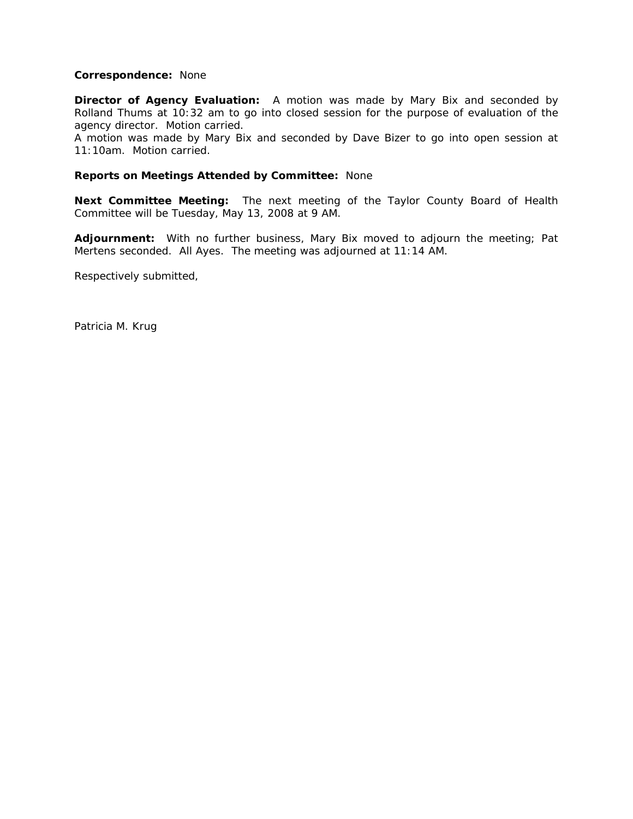### **Correspondence:** None

**Director of Agency Evaluation:** A motion was made by Mary Bix and seconded by Rolland Thums at 10:32 am to go into closed session for the purpose of evaluation of the agency director. Motion carried.

A motion was made by Mary Bix and seconded by Dave Bizer to go into open session at 11:10am. Motion carried.

#### **Reports on Meetings Attended by Committee:** None

**Next Committee Meeting:** The next meeting of the Taylor County Board of Health Committee will be Tuesday, May 13, 2008 at 9 AM.

**Adjournment:** With no further business, Mary Bix moved to adjourn the meeting; Pat Mertens seconded. All Ayes. The meeting was adjourned at 11:14 AM.

Respectively submitted,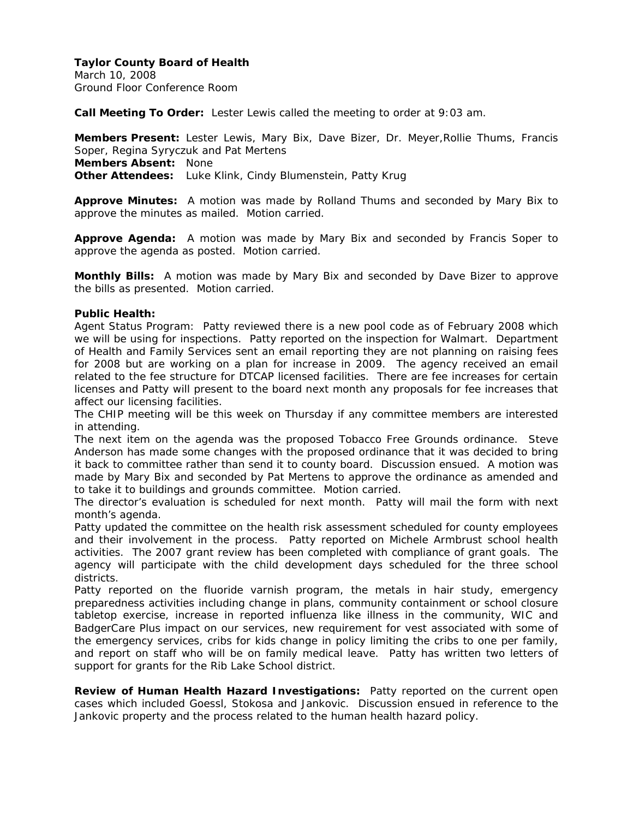March 10, 2008 Ground Floor Conference Room

**Call Meeting To Order:** Lester Lewis called the meeting to order at 9:03 am.

**Members Present:** Lester Lewis, Mary Bix, Dave Bizer, Dr. Meyer,Rollie Thums, Francis Soper, Regina Syryczuk and Pat Mertens **Members Absent:** None **Other Attendees:** Luke Klink, Cindy Blumenstein, Patty Krug

**Approve Minutes:** A motion was made by Rolland Thums and seconded by Mary Bix to approve the minutes as mailed. Motion carried.

**Approve Agenda:** A motion was made by Mary Bix and seconded by Francis Soper to approve the agenda as posted. Motion carried.

**Monthly Bills:** A motion was made by Mary Bix and seconded by Dave Bizer to approve the bills as presented. Motion carried.

### **Public Health:**

Agent Status Program: Patty reviewed there is a new pool code as of February 2008 which we will be using for inspections. Patty reported on the inspection for Walmart. Department of Health and Family Services sent an email reporting they are not planning on raising fees for 2008 but are working on a plan for increase in 2009. The agency received an email related to the fee structure for DTCAP licensed facilities. There are fee increases for certain licenses and Patty will present to the board next month any proposals for fee increases that affect our licensing facilities.

The CHIP meeting will be this week on Thursday if any committee members are interested in attending.

The next item on the agenda was the proposed Tobacco Free Grounds ordinance. Steve Anderson has made some changes with the proposed ordinance that it was decided to bring it back to committee rather than send it to county board. Discussion ensued. A motion was made by Mary Bix and seconded by Pat Mertens to approve the ordinance as amended and to take it to buildings and grounds committee. Motion carried.

The director's evaluation is scheduled for next month. Patty will mail the form with next month's agenda.

Patty updated the committee on the health risk assessment scheduled for county employees and their involvement in the process. Patty reported on Michele Armbrust school health activities. The 2007 grant review has been completed with compliance of grant goals. The agency will participate with the child development days scheduled for the three school districts.

Patty reported on the fluoride varnish program, the metals in hair study, emergency preparedness activities including change in plans, community containment or school closure tabletop exercise, increase in reported influenza like illness in the community, WIC and BadgerCare Plus impact on our services, new requirement for vest associated with some of the emergency services, cribs for kids change in policy limiting the cribs to one per family, and report on staff who will be on family medical leave. Patty has written two letters of support for grants for the Rib Lake School district.

**Review of Human Health Hazard Investigations:** Patty reported on the current open cases which included Goessl, Stokosa and Jankovic. Discussion ensued in reference to the Jankovic property and the process related to the human health hazard policy.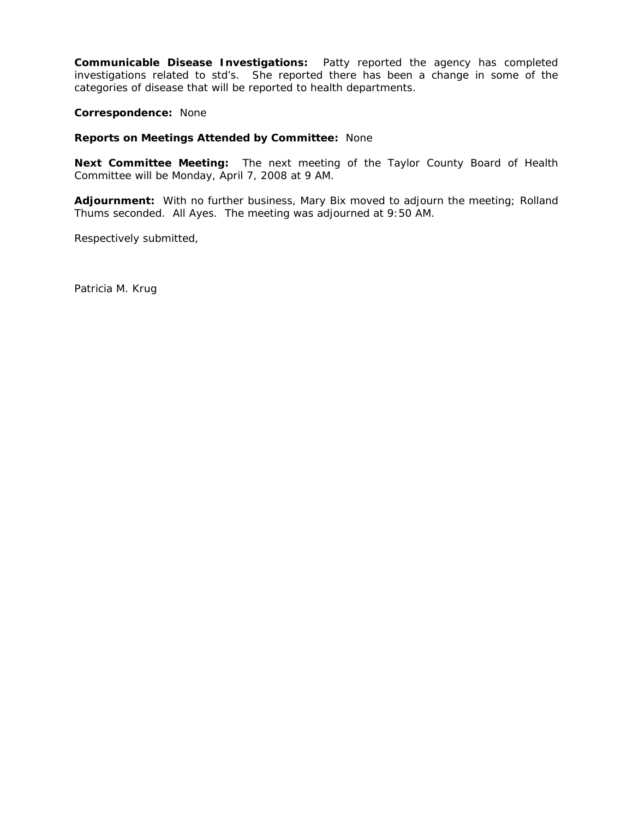**Communicable Disease Investigations:** Patty reported the agency has completed investigations related to std's. She reported there has been a change in some of the categories of disease that will be reported to health departments.

**Correspondence:** None

#### **Reports on Meetings Attended by Committee:** None

**Next Committee Meeting:** The next meeting of the Taylor County Board of Health Committee will be Monday, April 7, 2008 at 9 AM.

**Adjournment:** With no further business, Mary Bix moved to adjourn the meeting; Rolland Thums seconded. All Ayes. The meeting was adjourned at 9:50 AM.

Respectively submitted,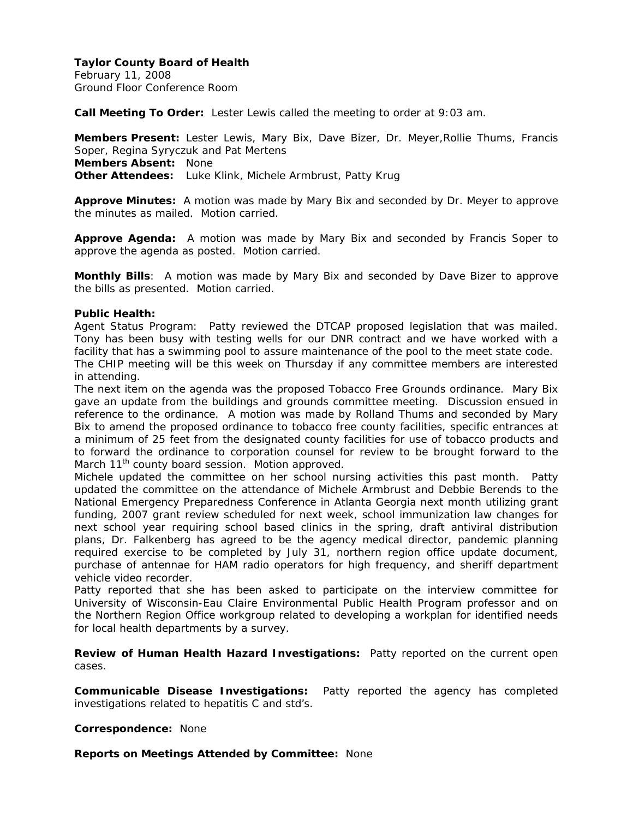February 11, 2008 Ground Floor Conference Room

**Call Meeting To Order:** Lester Lewis called the meeting to order at 9:03 am.

**Members Present:** Lester Lewis, Mary Bix, Dave Bizer, Dr. Meyer,Rollie Thums, Francis Soper, Regina Syryczuk and Pat Mertens **Members Absent:** None **Other Attendees:** Luke Klink, Michele Armbrust, Patty Krug

**Approve Minutes:** A motion was made by Mary Bix and seconded by Dr. Meyer to approve the minutes as mailed. Motion carried.

**Approve Agenda:** A motion was made by Mary Bix and seconded by Francis Soper to approve the agenda as posted. Motion carried.

**Monthly Bills**: A motion was made by Mary Bix and seconded by Dave Bizer to approve the bills as presented. Motion carried.

### **Public Health:**

Agent Status Program: Patty reviewed the DTCAP proposed legislation that was mailed. Tony has been busy with testing wells for our DNR contract and we have worked with a facility that has a swimming pool to assure maintenance of the pool to the meet state code.

The CHIP meeting will be this week on Thursday if any committee members are interested in attending.

The next item on the agenda was the proposed Tobacco Free Grounds ordinance. Mary Bix gave an update from the buildings and grounds committee meeting. Discussion ensued in reference to the ordinance. A motion was made by Rolland Thums and seconded by Mary Bix to amend the proposed ordinance to tobacco free county facilities, specific entrances at a minimum of 25 feet from the designated county facilities for use of tobacco products and to forward the ordinance to corporation counsel for review to be brought forward to the March 11<sup>th</sup> county board session. Motion approved.

Michele updated the committee on her school nursing activities this past month. Patty updated the committee on the attendance of Michele Armbrust and Debbie Berends to the National Emergency Preparedness Conference in Atlanta Georgia next month utilizing grant funding, 2007 grant review scheduled for next week, school immunization law changes for next school year requiring school based clinics in the spring, draft antiviral distribution plans, Dr. Falkenberg has agreed to be the agency medical director, pandemic planning required exercise to be completed by July 31, northern region office update document, purchase of antennae for HAM radio operators for high frequency, and sheriff department vehicle video recorder.

Patty reported that she has been asked to participate on the interview committee for University of Wisconsin-Eau Claire Environmental Public Health Program professor and on the Northern Region Office workgroup related to developing a workplan for identified needs for local health departments by a survey.

**Review of Human Health Hazard Investigations:** Patty reported on the current open cases.

**Communicable Disease Investigations:** Patty reported the agency has completed investigations related to hepatitis C and std's.

**Correspondence:** None

**Reports on Meetings Attended by Committee:** None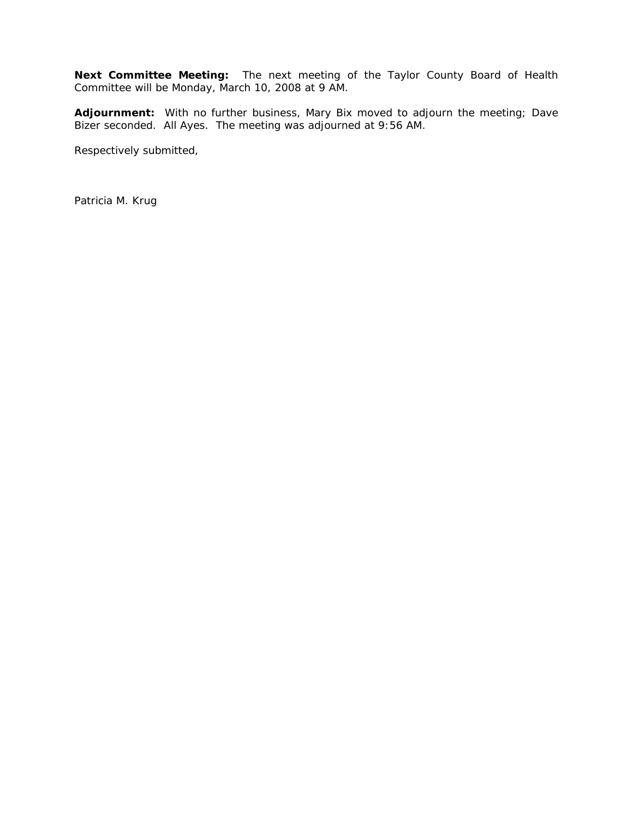**Next Committee Meeting:** The next meeting of the Taylor County Board of Health Committee will be Monday, March 10, 2008 at 9 AM.

**Adjournment:** With no further business, Mary Bix moved to adjourn the meeting; Dave Bizer seconded. All Ayes. The meeting was adjourned at 9:56 AM.

Respectively submitted,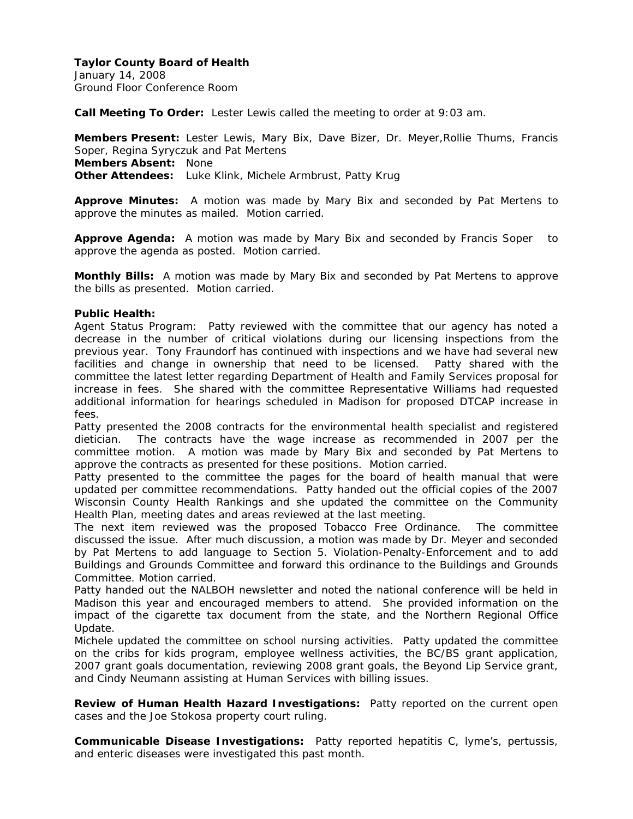January 14, 2008 Ground Floor Conference Room

**Call Meeting To Order:** Lester Lewis called the meeting to order at 9:03 am.

**Members Present:** Lester Lewis, Mary Bix, Dave Bizer, Dr. Meyer,Rollie Thums, Francis Soper, Regina Syryczuk and Pat Mertens **Members Absent:** None **Other Attendees:** Luke Klink, Michele Armbrust, Patty Krug

**Approve Minutes:** A motion was made by Mary Bix and seconded by Pat Mertens to approve the minutes as mailed. Motion carried.

**Approve Agenda:** A motion was made by Mary Bix and seconded by Francis Soper to approve the agenda as posted. Motion carried.

**Monthly Bills:** A motion was made by Mary Bix and seconded by Pat Mertens to approve the bills as presented. Motion carried.

### **Public Health:**

Agent Status Program: Patty reviewed with the committee that our agency has noted a decrease in the number of critical violations during our licensing inspections from the previous year. Tony Fraundorf has continued with inspections and we have had several new facilities and change in ownership that need to be licensed. Patty shared with the committee the latest letter regarding Department of Health and Family Services proposal for increase in fees. She shared with the committee Representative Williams had requested additional information for hearings scheduled in Madison for proposed DTCAP increase in fees.

Patty presented the 2008 contracts for the environmental health specialist and registered dietician. The contracts have the wage increase as recommended in 2007 per the committee motion. A motion was made by Mary Bix and seconded by Pat Mertens to approve the contracts as presented for these positions. Motion carried.

Patty presented to the committee the pages for the board of health manual that were updated per committee recommendations. Patty handed out the official copies of the 2007 Wisconsin County Health Rankings and she updated the committee on the Community Health Plan, meeting dates and areas reviewed at the last meeting.

The next item reviewed was the proposed Tobacco Free Ordinance. The committee discussed the issue. After much discussion, a motion was made by Dr. Meyer and seconded by Pat Mertens to add language to Section 5. Violation-Penalty-Enforcement and to add Buildings and Grounds Committee and forward this ordinance to the Buildings and Grounds Committee. Motion carried.

Patty handed out the NALBOH newsletter and noted the national conference will be held in Madison this year and encouraged members to attend. She provided information on the impact of the cigarette tax document from the state, and the Northern Regional Office Update.

Michele updated the committee on school nursing activities. Patty updated the committee on the cribs for kids program, employee wellness activities, the BC/BS grant application, 2007 grant goals documentation, reviewing 2008 grant goals, the Beyond Lip Service grant, and Cindy Neumann assisting at Human Services with billing issues.

**Review of Human Health Hazard Investigations:** Patty reported on the current open cases and the Joe Stokosa property court ruling.

**Communicable Disease Investigations:** Patty reported hepatitis C, lyme's, pertussis, and enteric diseases were investigated this past month.